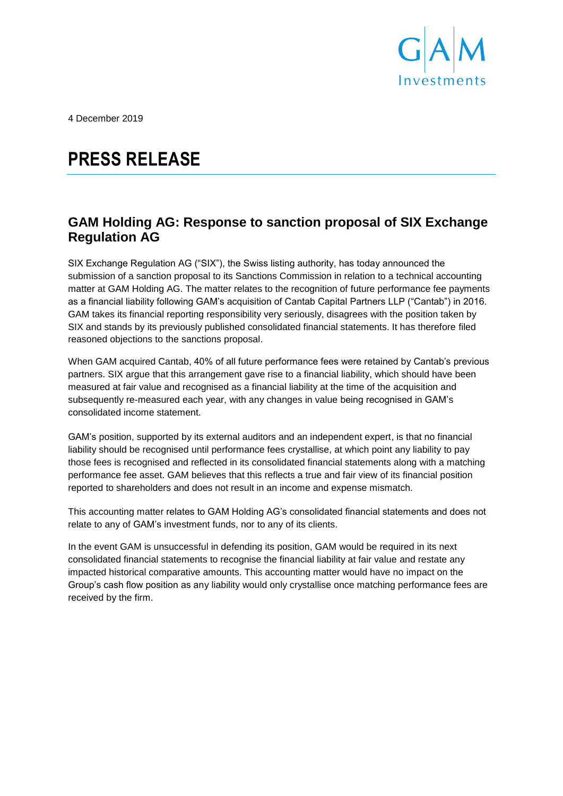

4 December 2019

# **PRESS RELEASE**

## **GAM Holding AG: Response to sanction proposal of SIX Exchange Regulation AG**

SIX Exchange Regulation AG ("SIX"), the Swiss listing authority, has today announced the submission of a sanction proposal to its Sanctions Commission in relation to a technical accounting matter at GAM Holding AG. The matter relates to the recognition of future performance fee payments as a financial liability following GAM's acquisition of Cantab Capital Partners LLP ("Cantab") in 2016. GAM takes its financial reporting responsibility very seriously, disagrees with the position taken by SIX and stands by its previously published consolidated financial statements. It has therefore filed reasoned objections to the sanctions proposal.

When GAM acquired Cantab, 40% of all future performance fees were retained by Cantab's previous partners. SIX argue that this arrangement gave rise to a financial liability, which should have been measured at fair value and recognised as a financial liability at the time of the acquisition and subsequently re-measured each year, with any changes in value being recognised in GAM's consolidated income statement.

GAM's position, supported by its external auditors and an independent expert, is that no financial liability should be recognised until performance fees crystallise, at which point any liability to pay those fees is recognised and reflected in its consolidated financial statements along with a matching performance fee asset. GAM believes that this reflects a true and fair view of its financial position reported to shareholders and does not result in an income and expense mismatch.

This accounting matter relates to GAM Holding AG's consolidated financial statements and does not relate to any of GAM's investment funds, nor to any of its clients.

In the event GAM is unsuccessful in defending its position, GAM would be required in its next consolidated financial statements to recognise the financial liability at fair value and restate any impacted historical comparative amounts. This accounting matter would have no impact on the Group's cash flow position as any liability would only crystallise once matching performance fees are received by the firm.